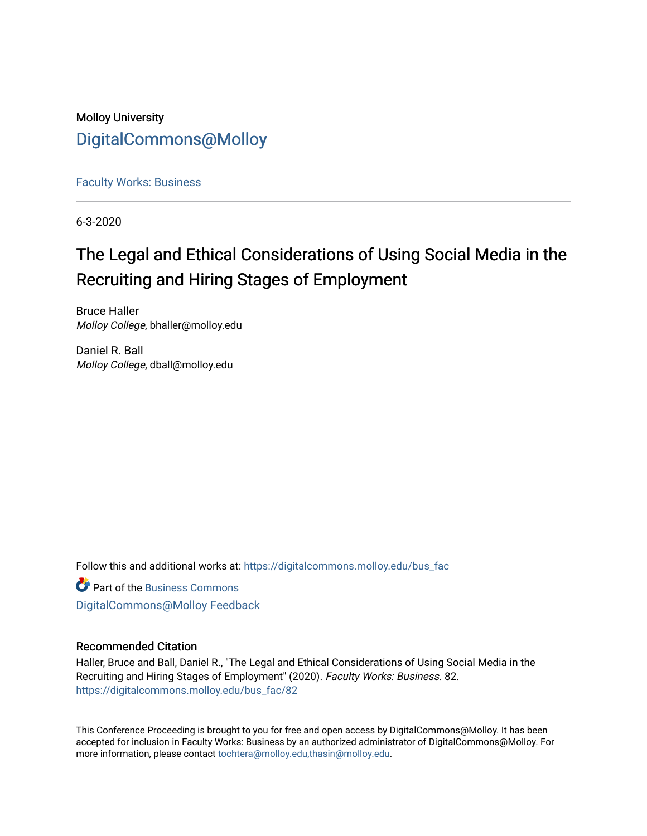## Molloy University [DigitalCommons@Molloy](https://digitalcommons.molloy.edu/)

[Faculty Works: Business](https://digitalcommons.molloy.edu/bus_fac) 

6-3-2020

# The Legal and Ethical Considerations of Using Social Media in the Recruiting and Hiring Stages of Employment

Bruce Haller Molloy College, bhaller@molloy.edu

Daniel R. Ball Molloy College, dball@molloy.edu

Follow this and additional works at: [https://digitalcommons.molloy.edu/bus\\_fac](https://digitalcommons.molloy.edu/bus_fac?utm_source=digitalcommons.molloy.edu%2Fbus_fac%2F82&utm_medium=PDF&utm_campaign=PDFCoverPages)

**C** Part of the [Business Commons](https://network.bepress.com/hgg/discipline/622?utm_source=digitalcommons.molloy.edu%2Fbus_fac%2F82&utm_medium=PDF&utm_campaign=PDFCoverPages) [DigitalCommons@Molloy Feedback](https://molloy.libwizard.com/f/dcfeedback)

#### Recommended Citation

Haller, Bruce and Ball, Daniel R., "The Legal and Ethical Considerations of Using Social Media in the Recruiting and Hiring Stages of Employment" (2020). Faculty Works: Business. 82. [https://digitalcommons.molloy.edu/bus\\_fac/82](https://digitalcommons.molloy.edu/bus_fac/82?utm_source=digitalcommons.molloy.edu%2Fbus_fac%2F82&utm_medium=PDF&utm_campaign=PDFCoverPages) 

This Conference Proceeding is brought to you for free and open access by DigitalCommons@Molloy. It has been accepted for inclusion in Faculty Works: Business by an authorized administrator of DigitalCommons@Molloy. For more information, please contact [tochtera@molloy.edu,thasin@molloy.edu.](mailto:tochtera@molloy.edu,thasin@molloy.edu)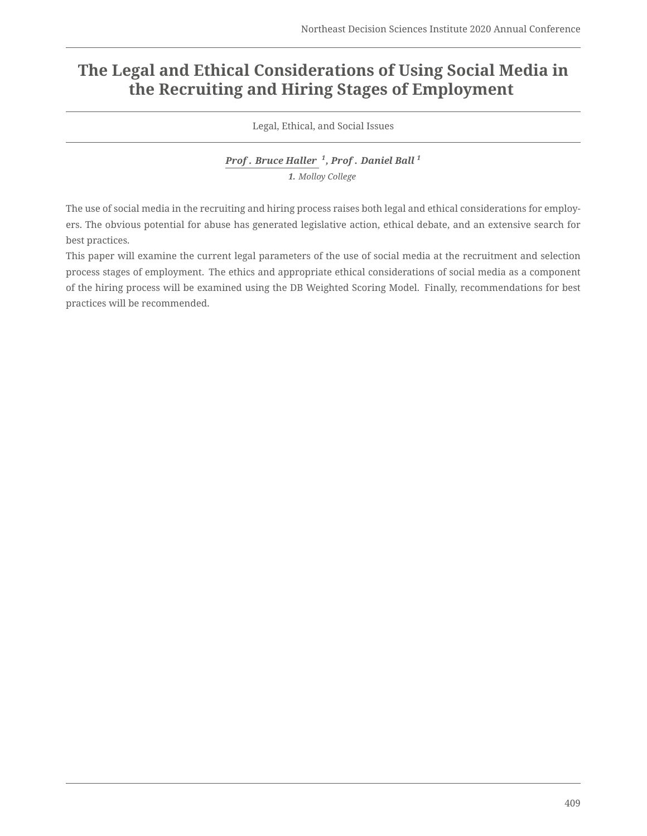## **The Legal and Ethical Considerations of Using Social Media in the Recruiting and Hiring Stages of Employment**

Legal, Ethical, and Social Issues

*Prof . Bruce Haller <sup>1</sup> , Prof . Daniel Ball <sup>1</sup> 1. Molloy College*

The use of social media in the recruiting and hiring process raises both legal and ethical considerations for employers. The obvious potential for abuse has generated legislative action, ethical debate, and an extensive search for best practices.

This paper will examine the current legal parameters of the use of social media at the recruitment and selection process stages of employment. The ethics and appropriate ethical considerations of social media as a component of the hiring process will be examined using the DB Weighted Scoring Model. Finally, recommendations for best practices will be recommended.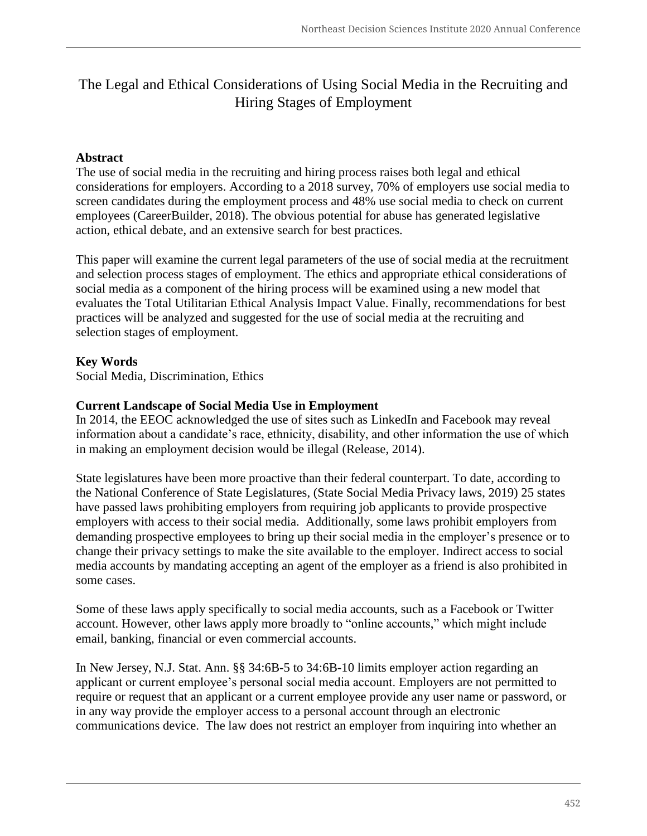### The Legal and Ethical Considerations of Using Social Media in the Recruiting and Hiring Stages of Employment

#### **Abstract**

The use of social media in the recruiting and hiring process raises both legal and ethical considerations for employers. According to a 2018 survey, 70% of employers use social media to screen candidates during the employment process and 48% use social media to check on current employees (CareerBuilder, 2018). The obvious potential for abuse has generated legislative action, ethical debate, and an extensive search for best practices.

This paper will examine the current legal parameters of the use of social media at the recruitment and selection process stages of employment. The ethics and appropriate ethical considerations of social media as a component of the hiring process will be examined using a new model that evaluates the Total Utilitarian Ethical Analysis Impact Value. Finally, recommendations for best practices will be analyzed and suggested for the use of social media at the recruiting and selection stages of employment.

#### **Key Words**

Social Media, Discrimination, Ethics

#### **Current Landscape of Social Media Use in Employment**

In 2014, the EEOC acknowledged the use of sites such as LinkedIn and Facebook may reveal information about a candidate's race, ethnicity, disability, and other information the use of which in making an employment decision would be illegal (Release, 2014).

State legislatures have been more proactive than their federal counterpart. To date, according to the National Conference of State Legislatures, (State Social Media Privacy laws, 2019) 25 states have passed laws prohibiting employers from requiring job applicants to provide prospective employers with access to their social media. Additionally, some laws prohibit employers from demanding prospective employees to bring up their social media in the employer's presence or to change their privacy settings to make the site available to the employer. Indirect access to social media accounts by mandating accepting an agent of the employer as a friend is also prohibited in some cases.

Some of these laws apply specifically to social media accounts, such as a Facebook or Twitter account. However, other laws apply more broadly to "online accounts," which might include email, banking, financial or even commercial accounts.

In New Jersey, N.J. Stat. Ann. §§ 34:6B-5 to 34:6B-10 limits employer action regarding an applicant or current employee's personal social media account. Employers are not permitted to require or request that an applicant or a current employee provide any user name or password, or in any way provide the employer access to a personal account through an electronic communications device. The law does not restrict an employer from inquiring into whether an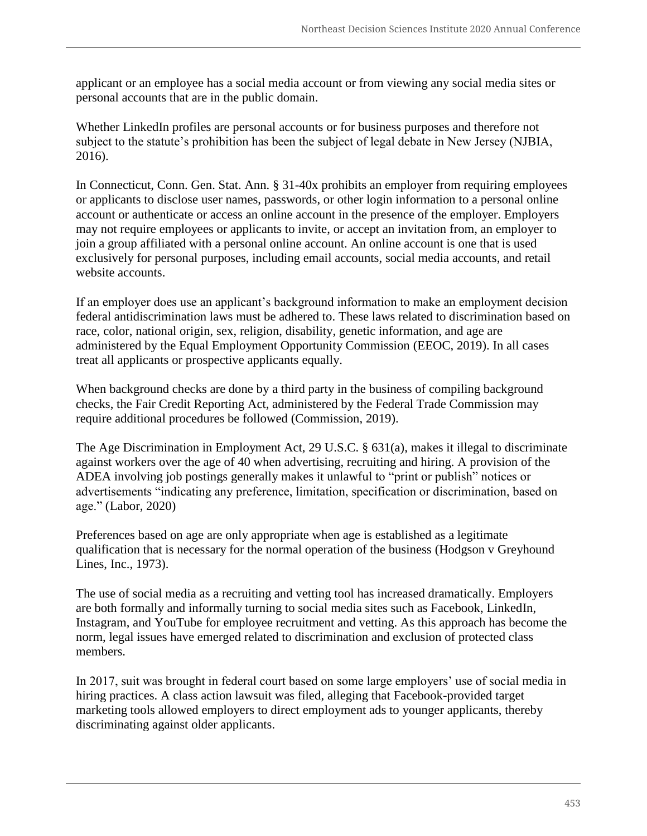applicant or an employee has a social media account or from viewing any social media sites or personal accounts that are in the public domain.

Whether LinkedIn profiles are personal accounts or for business purposes and therefore not subject to the statute's prohibition has been the subject of legal debate in New Jersey (NJBIA, 2016).

In Connecticut, Conn. Gen. Stat. Ann. § 31-40x prohibits an employer from requiring employees or applicants to disclose user names, passwords, or other login information to a personal online account or authenticate or access an online account in the presence of the employer. Employers may not require employees or applicants to invite, or accept an invitation from, an employer to join a group affiliated with a personal online account. An online account is one that is used exclusively for personal purposes, including email accounts, social media accounts, and retail website accounts.

If an employer does use an applicant's background information to make an employment decision federal antidiscrimination laws must be adhered to. These laws related to discrimination based on race, color, national origin, sex, religion, disability, genetic information, and age are administered by the Equal Employment Opportunity Commission (EEOC, 2019). In all cases treat all applicants or prospective applicants equally.

When background checks are done by a third party in the business of compiling background checks, the Fair Credit Reporting Act, administered by the Federal Trade Commission may require additional procedures be followed (Commission, 2019).

The Age Discrimination in Employment Act, 29 U.S.C. § 631(a), makes it illegal to discriminate against workers over the age of 40 when advertising, recruiting and hiring. A provision of the ADEA involving job postings generally makes it unlawful to "print or publish" notices or advertisements "indicating any preference, limitation, specification or discrimination, based on age." (Labor, 2020)

Preferences based on age are only appropriate when age is established as a legitimate qualification that is necessary for the normal operation of the business (Hodgson v Greyhound Lines, Inc., 1973).

The use of social media as a recruiting and vetting tool has increased dramatically. Employers are both formally and informally turning to social media sites such as Facebook, LinkedIn, Instagram, and YouTube for employee recruitment and vetting. As this approach has become the norm, legal issues have emerged related to discrimination and exclusion of protected class members.

In 2017, suit was brought in federal court based on some large employers' use of social media in hiring practices. A class action lawsuit was filed, alleging that Facebook-provided target marketing tools allowed employers to direct employment ads to younger applicants, thereby discriminating against older applicants.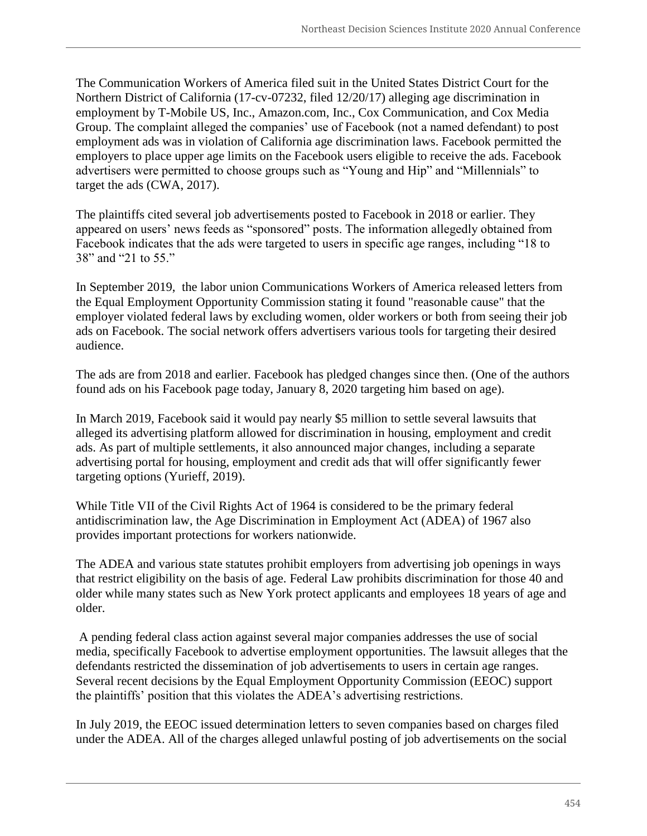The Communication Workers of America filed suit in the United States District Court for the Northern District of California (17-cv-07232, filed 12/20/17) alleging age discrimination in employment by T-Mobile US, Inc., Amazon.com, Inc., Cox Communication, and Cox Media Group. The complaint alleged the companies' use of Facebook (not a named defendant) to post employment ads was in violation of California age discrimination laws. Facebook permitted the employers to place upper age limits on the Facebook users eligible to receive the ads. Facebook advertisers were permitted to choose groups such as "Young and Hip" and "Millennials" to target the ads (CWA, 2017).

The plaintiffs cited several job advertisements posted to Facebook in 2018 or earlier. They appeared on users' news feeds as "sponsored" posts. The information allegedly obtained from Facebook indicates that the ads were targeted to users in specific age ranges, including "18 to 38" and "21 to 55."

In September 2019, the labor union Communications Workers of America released letters from the Equal Employment Opportunity Commission stating it found "reasonable cause" that the employer violated federal laws by excluding women, older workers or both from seeing their job ads on Facebook. The social network offers advertisers various tools for targeting their desired audience.

The ads are from 2018 and earlier. Facebook has pledged changes since then. (One of the authors found ads on his Facebook page today, January 8, 2020 targeting him based on age).

In March 2019, Facebook said it would pay nearly \$5 million to settle several lawsuits that alleged its advertising platform allowed for discrimination in housing, employment and credit ads. As part of multiple settlements, it also announced major changes, including a separate advertising portal for housing, employment and credit ads that will offer significantly fewer targeting options (Yurieff, 2019).

While Title VII of the Civil Rights Act of 1964 is considered to be the primary federal antidiscrimination law, the Age Discrimination in Employment Act (ADEA) of 1967 also provides important protections for workers nationwide.

The ADEA and various state statutes prohibit employers from advertising job openings in ways that restrict eligibility on the basis of age. Federal Law prohibits discrimination for those 40 and older while many states such as New York protect applicants and employees 18 years of age and older.

A pending federal class action against several major companies addresses the use of social media, specifically Facebook to advertise employment opportunities. The lawsuit alleges that the defendants restricted the dissemination of job advertisements to users in certain age ranges. Several recent decisions by the Equal Employment Opportunity Commission (EEOC) support the plaintiffs' position that this violates the ADEA's advertising restrictions.

In July 2019, the EEOC issued determination letters to seven companies based on charges filed under the ADEA. All of the charges alleged unlawful posting of job advertisements on the social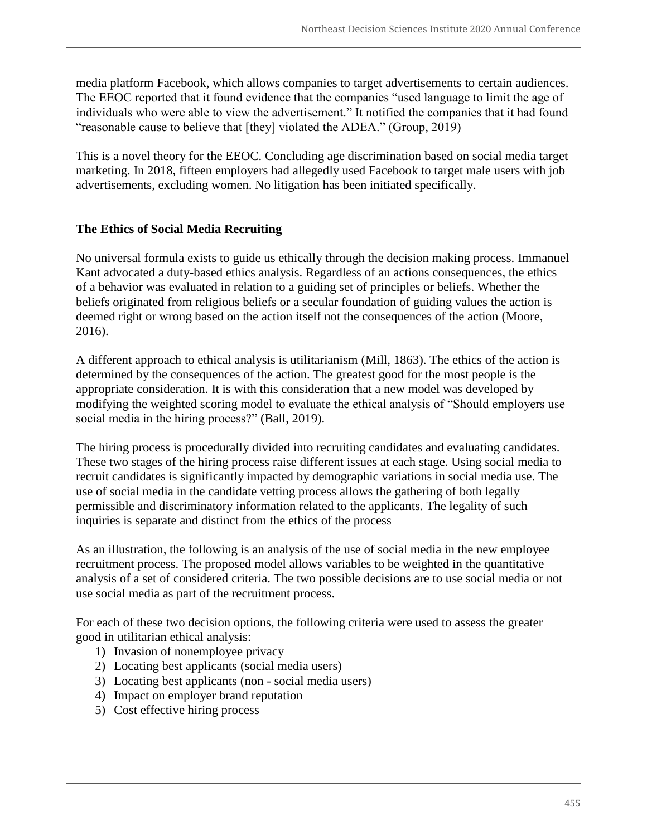media platform Facebook, which allows companies to target advertisements to certain audiences. The EEOC reported that it found evidence that the companies "used language to limit the age of individuals who were able to view the advertisement." It notified the companies that it had found "reasonable cause to believe that [they] violated the ADEA." (Group, 2019)

This is a novel theory for the EEOC. Concluding age discrimination based on social media target marketing. In 2018, fifteen employers had allegedly used Facebook to target male users with job advertisements, excluding women. No litigation has been initiated specifically.

#### **The Ethics of Social Media Recruiting**

No universal formula exists to guide us ethically through the decision making process. Immanuel Kant advocated a duty-based ethics analysis. Regardless of an actions consequences, the ethics of a behavior was evaluated in relation to a guiding set of principles or beliefs. Whether the beliefs originated from religious beliefs or a secular foundation of guiding values the action is deemed right or wrong based on the action itself not the consequences of the action (Moore, 2016).

A different approach to ethical analysis is utilitarianism (Mill, 1863). The ethics of the action is determined by the consequences of the action. The greatest good for the most people is the appropriate consideration. It is with this consideration that a new model was developed by modifying the weighted scoring model to evaluate the ethical analysis of "Should employers use social media in the hiring process?" (Ball, 2019).

The hiring process is procedurally divided into recruiting candidates and evaluating candidates. These two stages of the hiring process raise different issues at each stage. Using social media to recruit candidates is significantly impacted by demographic variations in social media use. The use of social media in the candidate vetting process allows the gathering of both legally permissible and discriminatory information related to the applicants. The legality of such inquiries is separate and distinct from the ethics of the process

As an illustration, the following is an analysis of the use of social media in the new employee recruitment process. The proposed model allows variables to be weighted in the quantitative analysis of a set of considered criteria. The two possible decisions are to use social media or not use social media as part of the recruitment process.

For each of these two decision options, the following criteria were used to assess the greater good in utilitarian ethical analysis:

- 1) Invasion of nonemployee privacy
- 2) Locating best applicants (social media users)
- 3) Locating best applicants (non social media users)
- 4) Impact on employer brand reputation
- 5) Cost effective hiring process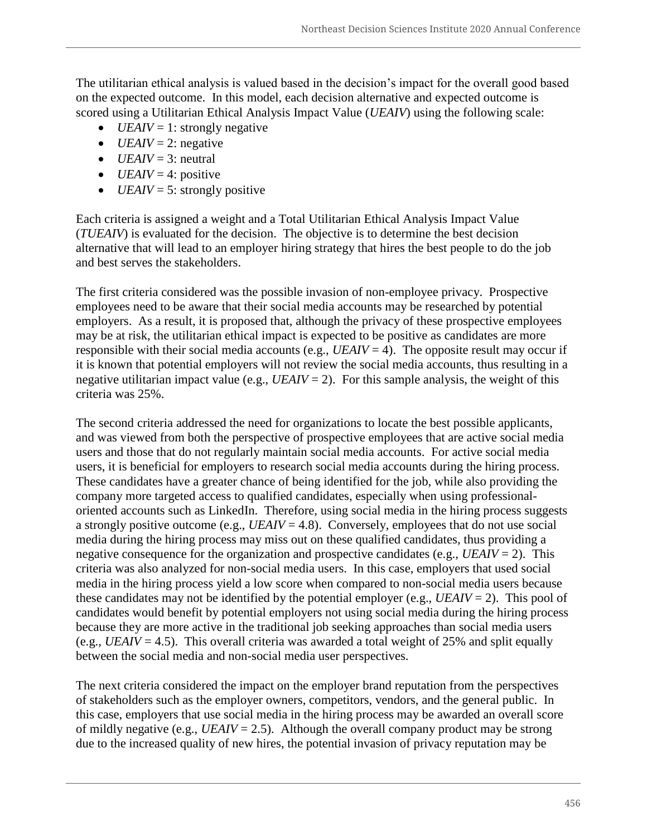The utilitarian ethical analysis is valued based in the decision's impact for the overall good based on the expected outcome. In this model, each decision alternative and expected outcome is scored using a Utilitarian Ethical Analysis Impact Value (*UEAIV*) using the following scale:

- $\bullet$  *UEAIV* = 1: strongly negative
- $\bullet$  *UEAIV* = 2: negative
- $\bullet$  *UEAIV* = 3: neutral
- $\bullet$  *UEAIV* = 4: positive
- $\bullet$  *UEAIV* = 5: strongly positive

Each criteria is assigned a weight and a Total Utilitarian Ethical Analysis Impact Value (*TUEAIV*) is evaluated for the decision. The objective is to determine the best decision alternative that will lead to an employer hiring strategy that hires the best people to do the job and best serves the stakeholders.

The first criteria considered was the possible invasion of non-employee privacy. Prospective employees need to be aware that their social media accounts may be researched by potential employers. As a result, it is proposed that, although the privacy of these prospective employees may be at risk, the utilitarian ethical impact is expected to be positive as candidates are more responsible with their social media accounts (e.g.,  $UEAIV = 4$ ). The opposite result may occur if it is known that potential employers will not review the social media accounts, thus resulting in a negative utilitarian impact value (e.g.,  $UEAIV = 2$ ). For this sample analysis, the weight of this criteria was 25%.

The second criteria addressed the need for organizations to locate the best possible applicants, and was viewed from both the perspective of prospective employees that are active social media users and those that do not regularly maintain social media accounts. For active social media users, it is beneficial for employers to research social media accounts during the hiring process. These candidates have a greater chance of being identified for the job, while also providing the company more targeted access to qualified candidates, especially when using professionaloriented accounts such as LinkedIn. Therefore, using social media in the hiring process suggests a strongly positive outcome (e.g.,  $UEAIV = 4.8$ ). Conversely, employees that do not use social media during the hiring process may miss out on these qualified candidates, thus providing a negative consequence for the organization and prospective candidates (e.g.,  $UEAIV = 2$ ). This criteria was also analyzed for non-social media users. In this case, employers that used social media in the hiring process yield a low score when compared to non-social media users because these candidates may not be identified by the potential employer (e.g.,  $UEAIV = 2$ ). This pool of candidates would benefit by potential employers not using social media during the hiring process because they are more active in the traditional job seeking approaches than social media users (e.g.,  $UEAIV = 4.5$ ). This overall criteria was awarded a total weight of 25% and split equally between the social media and non-social media user perspectives.

The next criteria considered the impact on the employer brand reputation from the perspectives of stakeholders such as the employer owners, competitors, vendors, and the general public. In this case, employers that use social media in the hiring process may be awarded an overall score of mildly negative (e.g., *UEAIV* = 2.5). Although the overall company product may be strong due to the increased quality of new hires, the potential invasion of privacy reputation may be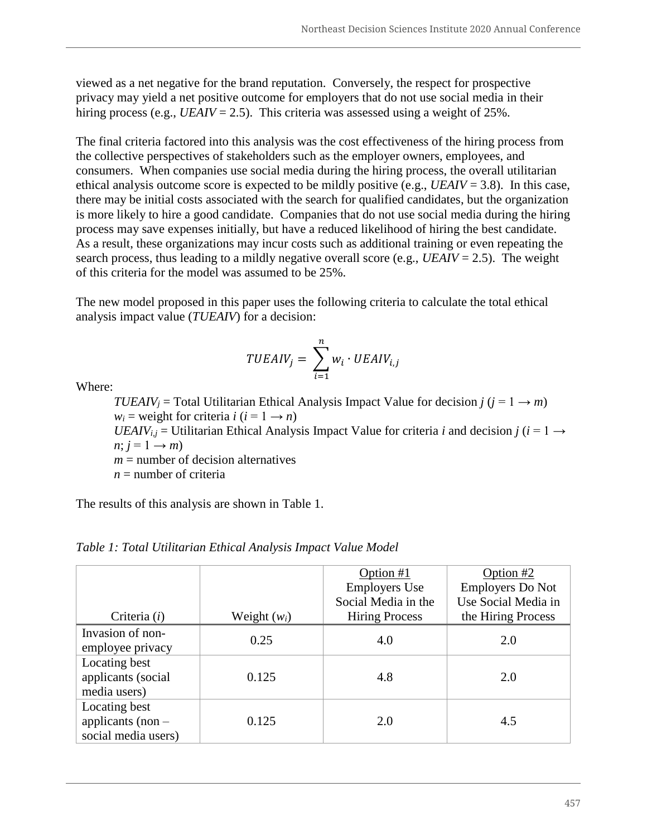viewed as a net negative for the brand reputation. Conversely, the respect for prospective privacy may yield a net positive outcome for employers that do not use social media in their hiring process (e.g.,  $UEAIV = 2.5$ ). This criteria was assessed using a weight of 25%.

The final criteria factored into this analysis was the cost effectiveness of the hiring process from the collective perspectives of stakeholders such as the employer owners, employees, and consumers. When companies use social media during the hiring process, the overall utilitarian ethical analysis outcome score is expected to be mildly positive (e.g., *UEAIV* = 3.8). In this case, there may be initial costs associated with the search for qualified candidates, but the organization is more likely to hire a good candidate. Companies that do not use social media during the hiring process may save expenses initially, but have a reduced likelihood of hiring the best candidate. As a result, these organizations may incur costs such as additional training or even repeating the search process, thus leading to a mildly negative overall score (e.g., *UEAIV* = 2.5). The weight of this criteria for the model was assumed to be 25%.

The new model proposed in this paper uses the following criteria to calculate the total ethical analysis impact value (*TUEAIV*) for a decision:

$$
TUEAIV_{j} = \sum_{i=1}^{n} w_{i} \cdot UEAIV_{i,j}
$$

Where:

*TUEAIV*<sub>*j*</sub> = Total Utilitarian Ethical Analysis Impact Value for decision *j* ( $j = 1 \rightarrow m$ )  $w_i$  = weight for criteria *i* (*i* = 1  $\rightarrow$  *n*)

*UEAIV*<sub>*i,j*</sub> = Utilitarian Ethical Analysis Impact Value for criteria *i* and decision *j* (*i* = 1 →  $n; j = 1 \rightarrow m$ 

 $m =$  number of decision alternatives

 $n =$  number of criteria

The results of this analysis are shown in Table 1.

|                     |                | Option #1             | Option $#2$             |
|---------------------|----------------|-----------------------|-------------------------|
|                     |                | <b>Employers Use</b>  | <b>Employers Do Not</b> |
|                     |                | Social Media in the   | Use Social Media in     |
| Criteria $(i)$      | Weight $(w_i)$ | <b>Hiring Process</b> | the Hiring Process      |
| Invasion of non-    | 0.25           | 4.0                   | 2.0                     |
| employee privacy    |                |                       |                         |
| Locating best       |                |                       |                         |
| applicants (social  | 0.125          | 4.8                   | 2.0                     |
| media users)        |                |                       |                         |
| Locating best       |                |                       |                         |
| applicants (non $-$ | 0.125          | 2.0                   | 4.5                     |
| social media users) |                |                       |                         |

*Table 1: Total Utilitarian Ethical Analysis Impact Value Model*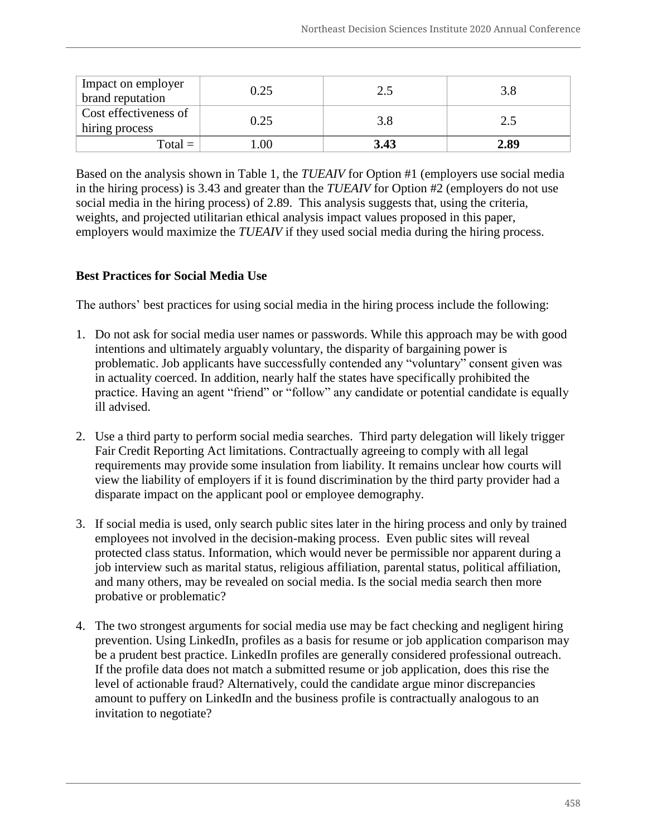| Impact on employer<br>brand reputation  | 0.25 |      |      |
|-----------------------------------------|------|------|------|
| Cost effectiveness of<br>hiring process | 0.25 | 3.8  |      |
| $Total = .$                             | .00. | 3.43 | 2.89 |

Based on the analysis shown in Table 1, the *TUEAIV* for Option #1 (employers use social media in the hiring process) is 3.43 and greater than the *TUEAIV* for Option #2 (employers do not use social media in the hiring process) of 2.89. This analysis suggests that, using the criteria, weights, and projected utilitarian ethical analysis impact values proposed in this paper, employers would maximize the *TUEAIV* if they used social media during the hiring process.

#### **Best Practices for Social Media Use**

The authors' best practices for using social media in the hiring process include the following:

- 1. Do not ask for social media user names or passwords. While this approach may be with good intentions and ultimately arguably voluntary, the disparity of bargaining power is problematic. Job applicants have successfully contended any "voluntary" consent given was in actuality coerced. In addition, nearly half the states have specifically prohibited the practice. Having an agent "friend" or "follow" any candidate or potential candidate is equally ill advised.
- 2. Use a third party to perform social media searches. Third party delegation will likely trigger Fair Credit Reporting Act limitations. Contractually agreeing to comply with all legal requirements may provide some insulation from liability. It remains unclear how courts will view the liability of employers if it is found discrimination by the third party provider had a disparate impact on the applicant pool or employee demography.
- 3. If social media is used, only search public sites later in the hiring process and only by trained employees not involved in the decision-making process. Even public sites will reveal protected class status. Information, which would never be permissible nor apparent during a job interview such as marital status, religious affiliation, parental status, political affiliation, and many others, may be revealed on social media. Is the social media search then more probative or problematic?
- 4. The two strongest arguments for social media use may be fact checking and negligent hiring prevention. Using LinkedIn, profiles as a basis for resume or job application comparison may be a prudent best practice. LinkedIn profiles are generally considered professional outreach. If the profile data does not match a submitted resume or job application, does this rise the level of actionable fraud? Alternatively, could the candidate argue minor discrepancies amount to puffery on LinkedIn and the business profile is contractually analogous to an invitation to negotiate?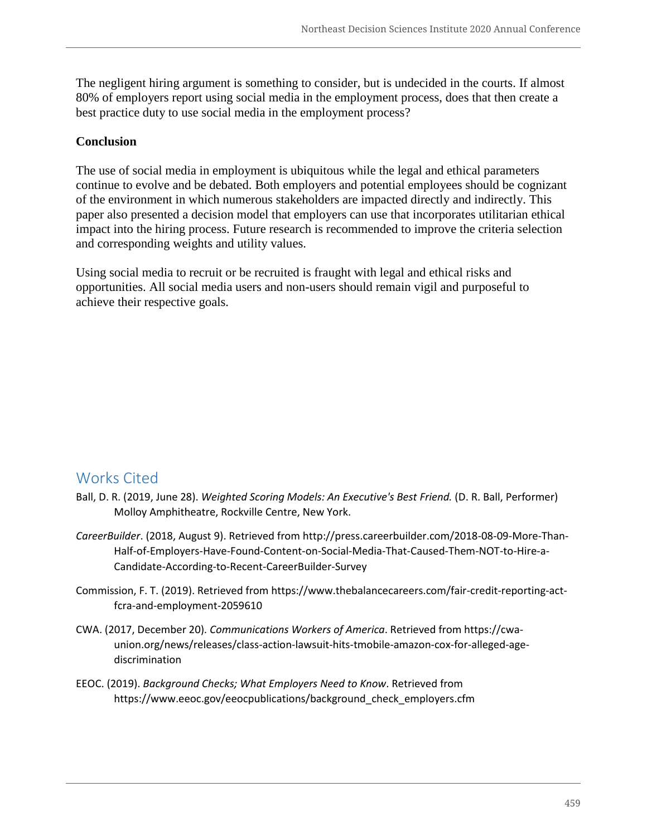The negligent hiring argument is something to consider, but is undecided in the courts. If almost 80% of employers report using social media in the employment process, does that then create a best practice duty to use social media in the employment process?

#### **Conclusion**

The use of social media in employment is ubiquitous while the legal and ethical parameters continue to evolve and be debated. Both employers and potential employees should be cognizant of the environment in which numerous stakeholders are impacted directly and indirectly. This paper also presented a decision model that employers can use that incorporates utilitarian ethical impact into the hiring process. Future research is recommended to improve the criteria selection and corresponding weights and utility values.

Using social media to recruit or be recruited is fraught with legal and ethical risks and opportunities. All social media users and non-users should remain vigil and purposeful to achieve their respective goals.

## Works Cited

- Ball, D. R. (2019, June 28). *Weighted Scoring Models: An Executive's Best Friend.* (D. R. Ball, Performer) Molloy Amphitheatre, Rockville Centre, New York.
- *CareerBuilder*. (2018, August 9). Retrieved from http://press.careerbuilder.com/2018-08-09-More-Than-Half-of-Employers-Have-Found-Content-on-Social-Media-That-Caused-Them-NOT-to-Hire-a-Candidate-According-to-Recent-CareerBuilder-Survey
- Commission, F. T. (2019). Retrieved from https://www.thebalancecareers.com/fair-credit-reporting-actfcra-and-employment-2059610
- CWA. (2017, December 20). *Communications Workers of America*. Retrieved from https://cwaunion.org/news/releases/class-action-lawsuit-hits-tmobile-amazon-cox-for-alleged-agediscrimination
- EEOC. (2019). *Background Checks; What Employers Need to Know*. Retrieved from https://www.eeoc.gov/eeocpublications/background\_check\_employers.cfm